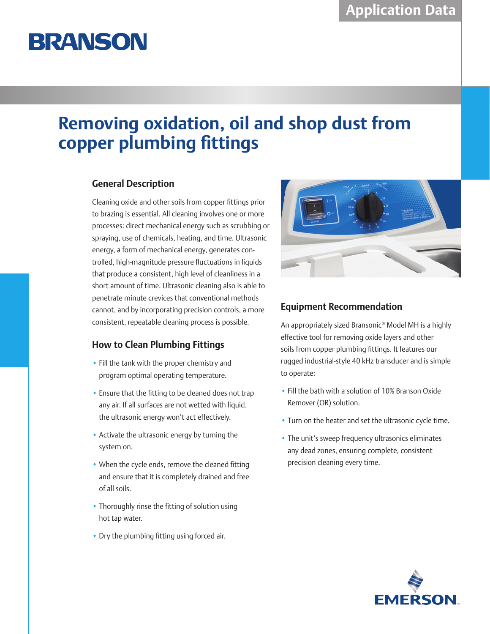# **BRANSON**

## **Removing oxidation, oil and shop dust from copper plumbing fittings**

### **General Description**

Cleaning oxide and other soils from copper fittings prior to brazing is essential. All cleaning involves one or more processes: direct mechanical energy such as scrubbing or spraying, use of chemicals, heating, and time. Ultrasonic energy, a form of mechanical energy, generates controlled, high-magnitude pressure fluctuations in liquids that produce a consistent, high level of cleanliness in a short amount of time. Ultrasonic cleaning also is able to penetrate minute crevices that conventional methods cannot, and by incorporating precision controls, a more consistent, repeatable cleaning process is possible.

### **How to Clean Plumbing Fittings**

- Fill the tank with the proper chemistry and program optimal operating temperature.
- Ensure that the fitting to be cleaned does not trap any air. If all surfaces are not wetted with liquid, the ultrasonic energy won't act effectively.
- Activate the ultrasonic energy by turning the system on.
- When the cycle ends, remove the cleaned fitting and ensure that it is completely drained and free of all soils.
- Thoroughly rinse the fitting of solution using hot tap water.
- Dry the plumbing fitting using forced air.



### **Equipment Recommendation**

An appropriately sized Bransonic® Model MH is a highly effective tool for removing oxide layers and other soils from copper plumbing fittings. It features our rugged industrial-style 40 kHz transducer and is simple to operate:

- Fill the bath with a solution of 10% Branson Oxide Remover (OR) solution.
- Turn on the heater and set the ultrasonic cycle time.
- The unit's sweep frequency ultrasonics eliminates any dead zones, ensuring complete, consistent precision cleaning every time.